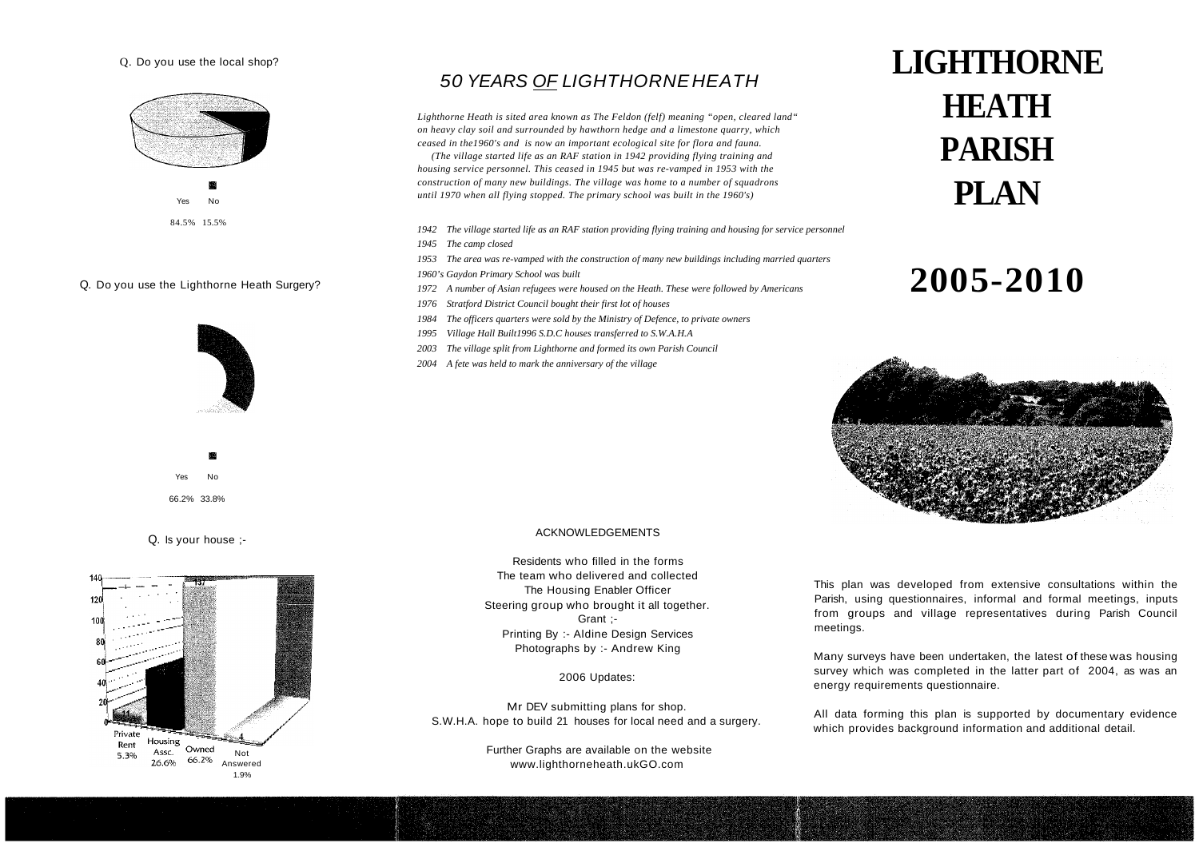#### Q. Do you use the local shop?



#### Q. Do you use the Lighthorne Heath Surgery?



Yes No 66.2% 33.8%

Q. Is your house ;



### 50 YEAR*S OF L*IGHTHORNEHEATH

*Lighthorne Heath is sited area known as The Feldon (felf) meaning "open, cleared land" on heavy clay soil and surrounded by hawthorn hedge and a limestone quarry, which ceased in the1960's and is now an important ecological site for flora and fauna.*

 *(The village started life as an RAF station in 1942 providing flying training and housing service personnel. This ceased in 1945 but was re-vamped in 1953 with the construction of many new buildings. The village was home to a number of squadrons until 1970 when all flying stopped. The primary school was built in the 1960's)* 

- *1942 The village started life as an RAF station providing flying training and housing for service personnel*
- *1945 The camp closed*

*1953 The area was re-vamped with the construction of many new buildings including married quarters 1960's Gaydon Primary School was built*

- *1972 A number of Asian refugees were housed on the Heath. These were followed by Americans*
- *1976 Stratford District Council bought their first lot of houses*
- *1984 The officers quarters were sold by the Ministry of Defence, to private owners*
- *1995 Village Hall Built1996 S.D.C houses transferred to S.W.A.H.A*
- *2003 The village split from Lighthorne and formed its own Parish Council*
- *2004 A fete was held to mark the anniversary of the village*

# **LIGHTHORNE HEATH PARISH PLAN**

## **2005-2010**



#### ACKNOWLEDGEMENTS

Residents who filled in the forms The team who delivered and collected The Housing Enabler Officer Steering group who brought it all together. Grant ; Printing By :- Aldine Design Services Photographs by :- Andrew King

2006 Updates:

Mr DEV submitting plans for shop. S.W.H.A. hope to build 21 houses for local need and a surgery.

> Further Graphs are available on the website www.lighthorneheath.ukGO.com

This plan was developed from extensive consultations within the Parish, using questionnaires, informal and formal meetings, inputs from groups and village representatives during Parish Council meetings.

Many surveys have been undertaken, the latest of these was housing survey which was completed in the latter part of 2004, as was an energy requirements questionnaire.

All data forming this plan is supported by documentary evidence which provides background information and additional detail.